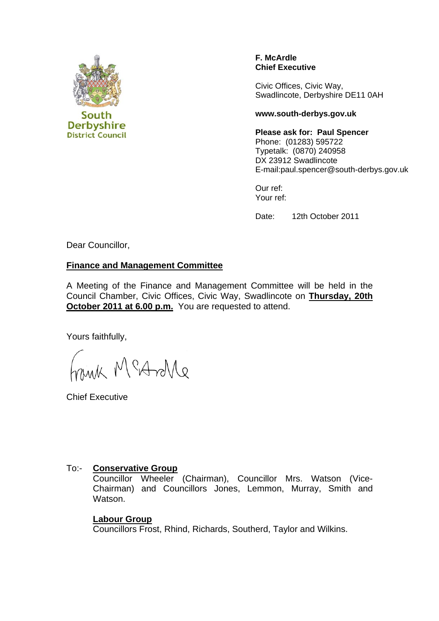

#### **F. McArdle Chief Executive**

Civic Offices, Civic Way, Swadlincote, Derbyshire DE11 0AH

#### **www.south-derbys.gov.uk**

**Please ask for: Paul Spencer**  Phone: (01283) 595722 Typetalk: (0870) 240958 DX 23912 Swadlincote

E-mail:paul.spencer@south-derbys.gov.uk

Our ref: Your ref:

Date: 12th October 2011

Dear Councillor,

#### **Finance and Management Committee**

A Meeting of the Finance and Management Committee will be held in the Council Chamber, Civic Offices, Civic Way, Swadlincote on **Thursday, 20th October 2011 at 6.00 p.m.** You are requested to attend.

Yours faithfully,

Frank McAroMe

Chief Executive

## To:- **Conservative Group**

Councillor Wheeler (Chairman), Councillor Mrs. Watson (Vice-Chairman) and Councillors Jones, Lemmon, Murray, Smith and Watson.

## **Labour Group**

Councillors Frost, Rhind, Richards, Southerd, Taylor and Wilkins.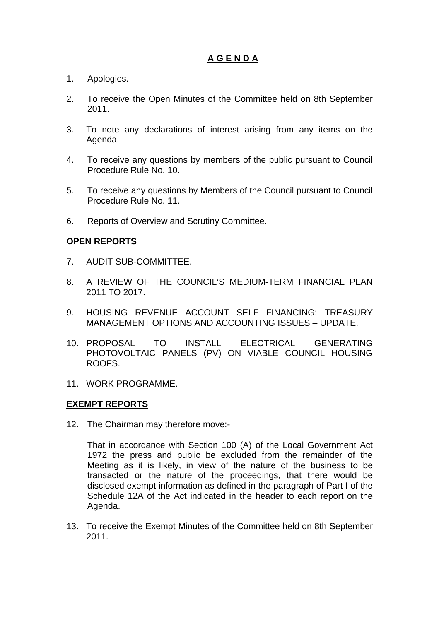# **A G E N D A**

- 1. Apologies.
- 2. To receive the Open Minutes of the Committee held on 8th September 2011.
- 3. To note any declarations of interest arising from any items on the Agenda.
- 4. To receive any questions by members of the public pursuant to Council Procedure Rule No. 10.
- 5. To receive any questions by Members of the Council pursuant to Council Procedure Rule No. 11.
- 6. Reports of Overview and Scrutiny Committee.

# **OPEN REPORTS**

- 7. AUDIT SUB-COMMITTEE.
- 8. A REVIEW OF THE COUNCIL'S MEDIUM-TERM FINANCIAL PLAN 2011 TO 2017.
- 9. HOUSING REVENUE ACCOUNT SELF FINANCING: TREASURY MANAGEMENT OPTIONS AND ACCOUNTING ISSUES – UPDATE.
- 10. PROPOSAL TO INSTALL ELECTRICAL GENERATING PHOTOVOLTAIC PANELS (PV) ON VIABLE COUNCIL HOUSING ROOFS.
- 11. WORK PROGRAMME.

## **EXEMPT REPORTS**

12. The Chairman may therefore move:-

 That in accordance with Section 100 (A) of the Local Government Act 1972 the press and public be excluded from the remainder of the Meeting as it is likely, in view of the nature of the business to be transacted or the nature of the proceedings, that there would be disclosed exempt information as defined in the paragraph of Part I of the Schedule 12A of the Act indicated in the header to each report on the Agenda.

13. To receive the Exempt Minutes of the Committee held on 8th September 2011.